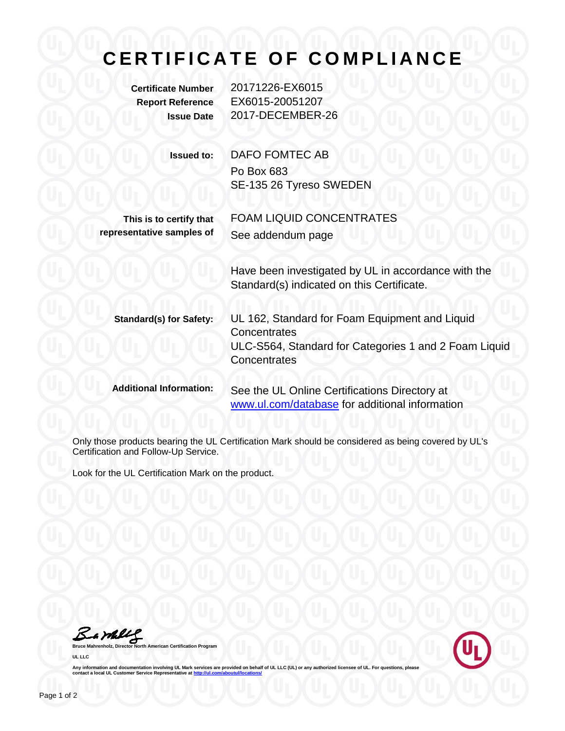## **CERTIFICATE OF COMPLIANCE**

| <b>Certificate Number</b><br><b>Report Reference</b><br><b>Issue Date</b> | 20171226-EX6015<br>EX6015-20051207<br>2017-DECEMBER-26                                                                                  |
|---------------------------------------------------------------------------|-----------------------------------------------------------------------------------------------------------------------------------------|
| <b>Issued to:</b>                                                         | <b>DAFO FOMTEC AB</b><br>Po Box 683<br>SE-135 26 Tyreso SWEDEN                                                                          |
| This is to certify that<br>representative samples of                      | <b>FOAM LIQUID CONCENTRATES</b><br>See addendum page                                                                                    |
|                                                                           | Have been investigated by UL in accordance with the<br>Standard(s) indicated on this Certificate.                                       |
| <b>Standard(s) for Safety:</b>                                            | UL 162, Standard for Foam Equipment and Liquid<br>Concentrates<br>ULC-S564, Standard for Categories 1 and 2 Foam Liquid<br>Concentrates |
| <b>Additional Information:</b>                                            | See the UL Online Certifications Directory at<br>www.ul.com/database for additional information                                         |

Only those products bearing the UL Certification Mark should be considered as being covered by UL's Certification and Follow-Up Service.

Look for the UL Certification Mark on the product.

**Bruce Mahrenholz, Director North American Certification Program** 

**UL LLC**



Any information and documentation involving UL Mark services are provided on behalf of UL LLC (UL) or any authorized licensee of UL. For questions, please<br>contact a local UL Customer Service Representative at <u>http://ul.co</u>